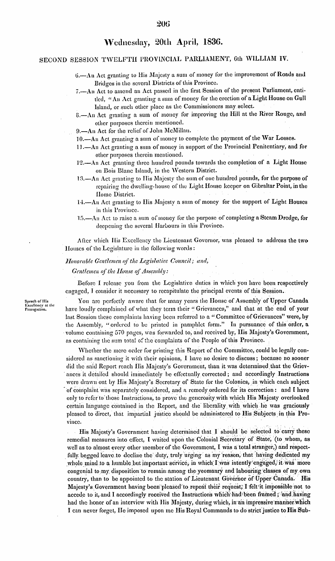#### SECOND SESSION TWELFTH PROVINCIAL PARLIAMENT, 6th WILLIAM IV.

- 6. An Act granting to His Majesty a sum of money for the improvement of Roads and Bridges in the several Districts of this Province.
- 7.- An Act to amend an Act passed in the first Session of the present Parliament, entitled, "An Act granting a sum of money for the erection of a Light House on Gull Island, or such other place as the Commissioners may select.
- 8. An Act granting a sum of money for improving the Hill at the River Rouge, and other purposes therein mentioned.
- 9.—An Act for the relief of John McMillan.
- 10.—An Act granting a sum of money to complete the payment of the War Losses.
- 11.—An Act granting a sum of money in support of the Provincial Penitentiary, and for other purposes therein mentioned.
- 12.—An Act granting three hundred pounds towards the completion of a Light House on Bois Blanc Island, in the Western District.
- $13. An$  Act granting to His Majesty the sum of one hundred pounds, for the purpose of repairing the dwelling-house of the Light House keeper on Gibraltar Point, in the Home District.
- 14. An Act granting to His Majesty a sum of money for the support of Light Houses in this Province.
- 15.—An Act to raise a sum of money for the purpose of completing a Steam Dredge, for deepening the several Harbours in this Province.

After which His Excellency the Lieutenant Governor, was pleased to address the two Houses of the Legislature in the following words:

#### Honorable Gentlemen of the Legislatire Council; and,

Gentlemen of the House of Assembly:

Before I release you from the Legislative duties in which you have been respectively engaged, I consider it necessary to recapitulate the principal events of this Session.

You are perfectly aware that for many years the House of Assembly of Upper Canada have loudly complained of what they term their "Grievances," and that at the end of your last Session these complaints having been referred to a "Committee of Grievances" were, by the Assembly, "ordered to be printed in pamphlet form." In pursuance of this order, a volume containing 570 pages, was forwarded to, and received by, His Majesty's Government, as containing the sum total of the complaints of the People of this Province.

Whether the mere order for printing this Report of the Committee, could be legally considered as sanctioning it with their opinions, I have no desire to discuss; because no sooner did the said Report reach His Majesty's Government, than it was determined that the Grievances it detailed should immediately be effectually corrected; and accordingly Instructions were drawn out by His Majesty's Secretary of State for the Colonies, in which each subject of complaint was separately considered, and a remedy ordered for its correction: and I have only to refer to those Instructions, to prove the generosity with which His Majesty overlooked certain language contained in the Report, and the liberality with which he was graciously pleased to direct, that impartial justice should be administered to His Subjects in this Province.

His Majesty's Government having determined that I should be selected to carry these remedial measures into effect, I waited upon the Colonial Secretary of State, (to whom, as well as to almost every other member of the Government, I was a total stranger,) and respectfully begged leave to decline the duty, truly urging as my reason, that having dedicated my whole mind to a humble but important service, in which I was intently engaged, it was more congenial to my disposition to remain among the yeomanry and labouring classes of my own country, than to be appointed to the station of Lieutenant Governor of Upper Canada. His Majesty's Government having been pleased to repeat their request; I felt it impossible not to accede to it, and I accordingly received the Instructions which had been framed; and having had the honor of an interview with His Majesty, during which, in an impressive manner which I can never forget, He imposed upon me His Royal Commands to do strict justice to His Sub-

Speech of His Excellency at the<br>Prorogation.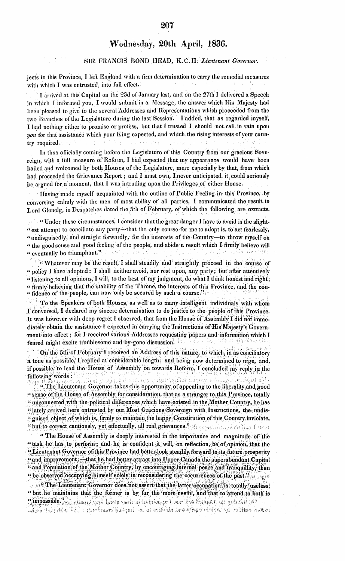### SIR FRANCIS BOND HEAD, K.C.H. Lieutenant Governor.

jects in this Province, I left England with a firm determination to carry the remedial measures with which I was entrusted, into full effect.

I arrived at this Capital on the 23d of January last, and on the 27th I delivered a Speech in which I informed you, I would submit in a Message, the answer which His Majesty had been pleased to give to the several Addresses and Representations which proceeded from the two Branches of the Legislature during the last Session. I added, that as regarded myself, I had nothing either to promise or profess, but that I trusted I should not call in vain upon you for that assistance which your King expected, and which the rising interests of your country required. **Service Administration** 

In thus officially coming before the Legislature of this Country from our gracious Sovereign, with a full measure of Reform, I had expected that my appearance would have been hailed and welcomed by both Houses of the Legislature, more especially by that, from which had proceeded the Grievance Report; and I must own, I never anticipated it could seriously be argued for a moment, that I was intruding upon the Privileges of either House.

Having made myself acquainted with the outline of Public Feeling in this Province, by conversing calmly with the men of most ability of all parties, I communicated the result to Lord Glenclg, in Despatches dated the 5th of February, of which the following are extracts.

" "Under these circumstances, I consider that the great danger I have to avoid is the slight-" est attempt to conciliate any party-that the only course for me to adopt is, to act fearlessly, "undisguisedly, and straight forwardly, for the interests of the Country-to throw myself on " the good sense and good feeling of the people, and abide a result which I firmly believe will " eventually be triumphant."  $\sim 20$ 

"Whatever may be the result, I shall steadily and straightly proceed in the course of " policy I have adopted: I shall neither avoid, nor rest upon, any party; but after attentively "listening to all opinions, I will, to the best of my judgment, do what I think honest and right; " firmly believing that the stability of the Throne, the interests of this Province, and the con-"fidence of the people, can now only be secured by such a course."

To the Speakers of both Houses, as well as to many intelligent individuals with whom I conversed, I declared my sincere determination to do justice to the people of this Province. It was however with deep regret I observed, that from the House of Assembly I did not immediately obtain the assistance I expected in carrying the Instructions of His Majesty's Government into effect; for I received various Addresses requesting papers and information which I feared might excite troublesome and by-gone discussion.

On the 5th of February I received an Address of this nature, to which, in as conciliatory a tone as possible, I replied at considérable length; and being now determined to urge, and, if possible, to lead the House of Assembly on towards Reform, I concluded my reply in the following words: รไม่สุดตัว สามารถใช้เพิ่ม นั่นนุคลื้น แต่งเองที่ตั้ง ได้แต่ที่ตั้งไม่ ได้เงิน 化乙炔代双环构件

The Lieutenant Governor takes this opportunity of appealing to the liberality and good " sense of the House of Assembly for consideration, that as a stranger to this Province, totally " unconnected with the political differences which have existed in the Mother Country, he has "lately arrived here entrusted by our Most Gracious Sovereign with Instructions, the undis-" guised object of which is, firmly to maintain the happy, Constitution of this Country inviolate, "but to correct cautiously, yet effectually, all real grievances." The home of the first is a function

"The House of Assembly is deeply interested in the importance and magnitude of the "task he has to perform; and he is confident it will, on reflection, be of opinion, that the "Lieutenant Governor of this Province had better look steadily forward to its future prosperity " and improvement;---that he had better attract into Upper Canada the superabundant Capital "and Population of the Mother Country, by encouraging internal peace and tranquillity, than " be observed occupying himself solely in reconsidering the occurrences of the past." of the Lieutenant Governor does not assert that the latter occupation is totally useless, "but he maintains that the former is by far the more useful, and that to attend to both is Cimpossible." Cambins, error have painters distribution for the component of an interval racter, certified by their buyght and absolute to an of implicit combined in the United plans as a set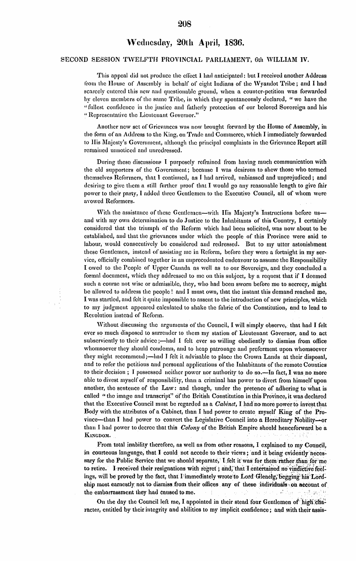## 208

# Wednesday, 20th April, 1836.

### SECOND SESSION TWELFTH PROVINCIAL PARLIAMENT, 6th WILLIAM IV.

This appeal did not produce the effect I had anticipated: but I received another Address from the House of Assembly in behalf of eight Indians of the Wyandot Tribe; and I had scaredy entered this new and questionable ground, when a counter-petition was forwarded by eleven members of the same Tribe, in which they spontaneously declared, "we have the "fullest confidence in the justice and fatherly protection of our beloved Sovereign and his "Representative the Lieutenant Governor."

Another new set of Grievances was now brought forward by the House of Assembly, in the form of an Address to the King, on Trade and Commerce, which I immediately forwarded to His Majesty's Government, although the principal complaints in the Grievance Report still remained unnoticed and unredressed.

During these discussions I purposely refrained from having much communication with the old supporters of the Government; because I was desirous to shew those who termed themselves Reformers, that I continued, as I had arrived, unbiassed and unprejudiced; and desiring to give them a still further proof that I would go any reasonable length to give fair power to their party, I added three Gentlemen to the Executive Council, all of whom were avowed Reformers.

With the assistance of these Gentlemen—with His Majesty's Instructions before us and with my own determination to do Justice to the Inhabitants of this Country, I certainly considered that the triumph of the Reform which had been solicited, was now about to be established, and that the grievances under which the people of this Province were said to labour, would consecutively be considered and redressed. But to my utter astonishment these Gentlemen, instead of assisting me in Reform, before they were a fortnight in my service, officially combined together in an unprecedented endeavour to assume the Responsibility I owed to the People of Upper Canada as well as to our Sovereign, and they concluded a formal document, which they addressed to me on this subject, by a request that if I deemed such a course not wise or admissible, they, who had been sworn before me to secrecy, might be allowed to address the people! and I must own, that the instant this demand reached me, I was startled, and felt it quite impossible to assent to the introduction of new principles, which to my judgment appeared calculated to shake the fabric of the Constitution, and to lead to Revolution instead of Reform.

Without discussing the arguments of the Council, I will simply observe, that had I felt ever so much disposed to surrender to them my station of Lieutenant Governor, and to act subserviently to their advice;—had I felt ever so willing obediently to dismiss from office whomsoever they should condemn, and to heap patronage and preferment upon whomsoever they might recommend;—had I felt it advisable to place the Crown Lands at their disposal, and to refer the petitions and personal applications of the Inhabitants of the remote Counties to their decision; I possessed neither power nor authority to do so.-In fact, I was no more able to divest myself of responsibility, than a criminal has power to divert from himself upon another, the sentence of the Law: and though, under the pretence of adhering to what is called "the image and transcript" of the British Constitution in this Province, it was declared that the Executive Council must be regarded as a *Cabinet*, I had no more power to invest that Body with the attributes of a Cabinet, than I had power to create myself King of the Province-than I had power to convert the Legislative Council into a Hereditary Nobility-or than I had power to decree that this *Colony* of the British Empire should henceforward be a KINGDOM.

From total inability therefore, as well as from other reasons, I explained to my Council, in courteous language, that I could not accede to their views; and it being evidently necessary for the Public Service that we should separate, Lielt it was for them rather than for me to retire. I received their resignations with regret; and, that I entertained no vindictive feelings, will be proved by the fact, that I immediately wrote to Lord Glenelg, begging his Lordship most earnestly not to dismiss from their offices any of these individuals on account of the embarrassment they had caused to me. and printing of the project 노픈 발산 프

On the day the Council left me, I appointed in their stead four Gentlemen of high character, entitled by their integrity and abilities to my implicit confidence; and with their assis-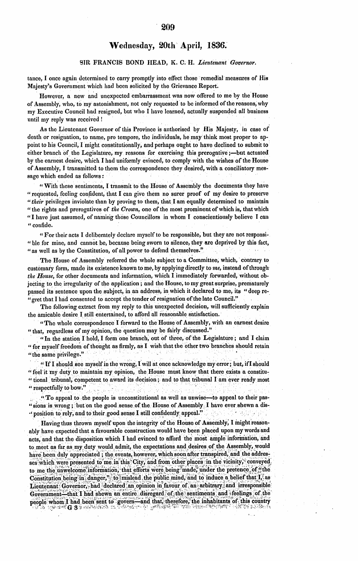### SIR **FRANCIS BOND HEAD,** K. **C. H.** *Lieutenant Governor.*

tance, I once again determined to carry promptly into effect those remedial measures **of** His Majesty's Government which had been solicited **by** the Grievance Report.

However, a new and unexpected embarrassment was now offered to me by the House **of** Assembly, who, to **my** astonishment, not only requested to bc informed of the reasons, why my Executive Council had resigned, but who I have learned, actually suspended ail business until my reply was received !

As the Lieutenant Governor of this Province is authorised **by** His Majesty, in case of death or resignation, to name, pro tempore, the individuals, he may think most proper to appoint to his Council, I might constitutionally, and perhaps ought to have declined to submit to either branch of the Legislature, my reasons for exercising this prerogative ;—but actuated **by** the earnest desire, which I had uniformly evinced, to comply with the wishes **of** the House of Assembly, I transmitted to them the correspondence they desired, with a conciliatory message which ended as **follows:-**

"With these sentiments, I transmit to the House of Assembly the documents they have "requested, feeling confident, that I can give them no surer proof of my desire to preserve *"their* privileges inviolate than **by** proving to them, that I am equally determined to maintain "the rights and prerogatives of *the Crown,* one of the most prominent of which is, that which "I have just assumed, of namiig those Councillors in whom I conscientiously believe I can "confide.

" For their acts I deliberately declare myself to be responsible, but they are not responsi- "ble for mine, and cannot be, because being sworn to silence, they are deprived **by** this fact, "as well as **by** the Constitution, of all power to defend themselves."

The House of Assembly referred the whole **subject** to a Committee, which, contrary to customary form, made its existence known to me, **by** applying directly to *me,* instead of through *the House,* for other documents and information, which I immediately forwarded, without objecting to the irregularity of the application; and the House, to my great surprise, prematurely passed its sentence upon the subject, in an address, in which it declared to me, its "deep re- "gret that I had consented to accept the tender **of** resignation of the late Council."

The following extract from my reply to this unexpected decision, will sufficiently explain the amicable desire I still entertained, to afford ail reasonable satisfaction.

"The whole correspondence I forward to the House of Assembly, with an earnest desire "that, regardless of ny opinion, the question may be fairly discussed."

"In the station I **hold,** I form one branch, out of three, of the Legislature; and I claim " for myself freedom **of** thought as firmly, as I wish that the other two branches should retain "the same privilege."

*"If I should see myself in the wrong, I will at once acknowledge my error; but, if I should* " feel it my duty to maintain my opinion, the House must know that there exists a constitu-'tional tribunal, competent to award its decision; and to that tribunal T am ever **ready** most 'respectfully to bow."

"To appeal to the people is unconstitutional as well as unwise-to appeal to their pas-"sions is wrong; but on the good sense of the House of Assembly I have ever shewn a dis-**.** position to rely, and to their good sense I still confidently appeal."

Having thus thrown myself upon the integrity **of** the House of Assembly, I might reasonably have expected that a favourable construction would have been placed upon my words and acts, and that the disposition which T had evinced to afford the most ample information, and to meet as far as my duty would admit, the expectations and desires of the Assembly, would have been duly appreciated; the events, however, which soon after transpired, and the addresses which were presented to me in this City, and from other places in the vicinity, conveyed, to me-the unwelcome information, that efforts were being made, under the pretence of "the Constitution being in danger," to mislead the public mind, and to induce a belief that  $I$ , as Lieutenant Governor, had declared an opinion in favour of an arbitrary and irresponsible Government-that I had shewn an entire disregard of the sentiments and feelings of the people whom I had been sent to govern-and that, therefore, the inhabitants of this country **G 3** <ý'.' ,y **'' '** <sup>k</sup>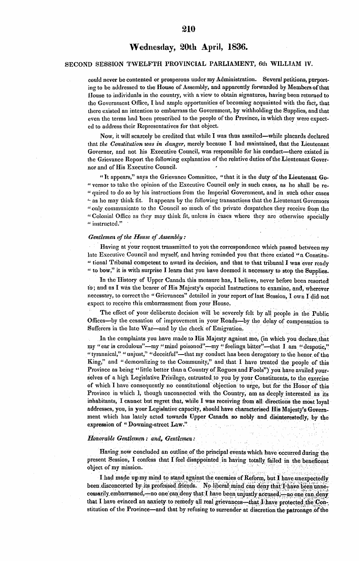### **SECOND SESSION** TWELFTIH PROVINCIAL PARLIAMENT, 6th WILLIAM IV.

could never be contented or prosperous under my Administration. Several petitions, purporting to **be** addressed to the House of Assembly, and apparently forwarded **by** Members ofthat flouse to individuals in the country, with a view to obtain signatures, having been returned to the Government Office, I had ample opportunities of becoming acquainted with the fact, that there existed an intention to embarrass the Government, **by** withholding the Supplies, and that even the terms had been prescribed to the people of the Province, in which they were expected to address their Representatives for that object.

Now, it will scarcely be credited that while I was thus assailed—while placards declared that *the Constitution was in danger,* merely because I had maintained, that the Lieutenant Governor, and not his Executive Council, was responsible for his conduct—there existed in the Grievance Report the following explanation of the relative duties ofthe Lieutenant Governor and of His Executive Council.

"It appears," says the Grievance Committee, "that it is the duty **of** the Lieutenant Go- "vernor to take the opinion of the Executive Council only in such cases, as he shall be re- " quired to do so by his instructions from the Imperial Government, and in such other cases **'** as he may think fit. It appears by the following transactions that the Lieutenant Governors **"only** communicate to the Council so much of the private despatches they receive from the "Colonial Office as they may think fit, unless in cases where they are otherwise specially  $\mu$  instructed."

### *Gentlemen of the House of Assembly :*

Having at your request transmitted to you the correspondence which passed between my late Executive Council and myself, and having rerninded you that there existed "a Constitu- " tional Tribunal competent to award its decision, and that to that tribunal I was ever ready "to bow," it is with surprise I learn that you have deerned it necessary to stop the Supplies.

In the History of Upper Canada this measure has, I believe, never before been resorted to; and as **I** was the bearer **of** lis Majesty's especial Instructions to examine, and, wherever necessary, to correct the "Grievances" detailed in your report of last Session, I own I did-not expect to receive this embarrassment from your House.

The effect of your deliberate decision will be severely felt **by all** people in the Public Offices-by the cessation of improvement in your Roads-by the delay of compensation to Sufferers in the late War—and by the check of Emigration.

In the complaints you have made to His Majesty against me, (in which you declare that my "ear is credulous"—my "mind poisoned"—my "feelings bitter"—that I am "despotic," "tyrannical," "unjust," "deceitful"-that my conduct has been derogatory to the honor of the King," and "demoralizing to the Connunity," and that I have treated the people of this Province as being "little better than a Country of Rogues and Fools") you have availed yourselves of a high Legislative Privilege, entrusted to you by your Constituents, to the exercise of which I have consequently no constitutional objection to urge, but for the Honor of this Province in which 1, though unconnected with the Country, am as deeply interested as its inhabitants, I cannot but regret that, while I was receiving from all directions the most loyal addresses, you, in your Legislative capacity, should have characterised His Majesty's Government which las lately acted towards Upper Canada so nobly and disinterestedly, by the expression of "Downing-street Law."

#### *Honorable Gentlemen: and, Gentlemen :*

Having now concluded an outline of the principal events which have occurred during the present Session, I confess that I feel disappointed in having totally failed in the beneficent object of my mission.

I had made up my mind to stand against the enemies of Reform, but I have unexpectedly been disconcerted by its professed friends. No liberal mind can deny that I have been unnecessarily. embarrassed,-no one can deny that I have been unjustly accused,-no one can deny that I have evinced an anxiety to remedy all real grievances—that  $I$  have protected the Constitution of the Province—and that by refusing to surrender at discretion the patronage of the